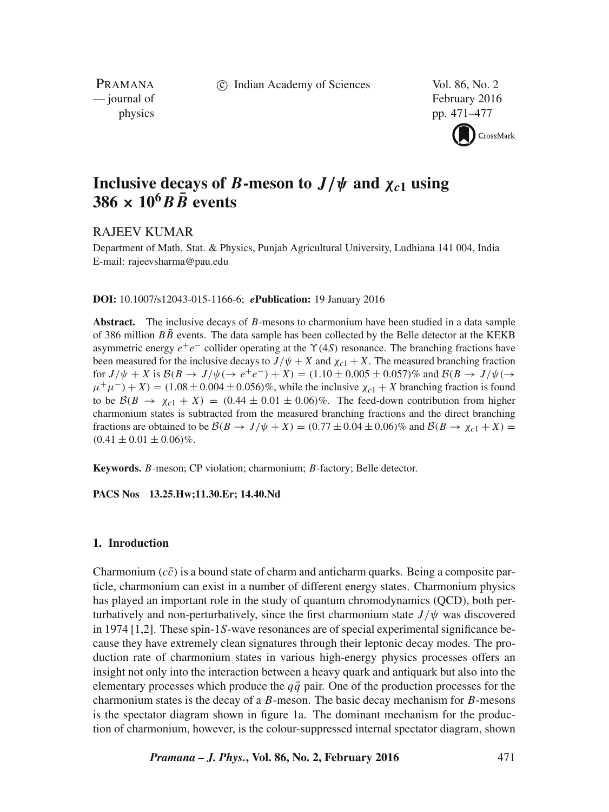c Indian Academy of Sciences Vol. 86, No. 2

PRAMANA<br>
— journal of

February 2016 physics pp. 471–477



# **Inclusive decays of B-meson to**  $J/\psi$  and  $\chi_{c1}$  **using**  $386 \times 10^6$  B  $\bar{B}$  events

# RAJEEV KUMAR

Department of Math. Stat. & Physics, Punjab Agricultural University, Ludhiana 141 004, India E-mail: rajeevsharma@pau.edu

## **DOI:** 10.1007/s12043-015-1166-6; *e***Publication:** 19 January 2016

**Abstract.** The inclusive decays of B-mesons to charmonium have been studied in a data sample of 386 million  $B\bar{B}$  events. The data sample has been collected by the Belle detector at the KEKB asymmetric energy  $e^+e^-$  collider operating at the  $\Upsilon(4S)$  resonance. The branching fractions have been measured for the inclusive decays to  $J/\psi + X$  and  $\chi_{c1} + X$ . The measured branching fraction for  $J/\psi + X$  is  $\mathcal{B}(B \to J/\psi (\to e^+e^-) + X) = (1.10 \pm 0.005 \pm 0.057)\%$  and  $\mathcal{B}(B \to J/\psi (\to e^+e^-) + X)$  $\mu^+\mu^-$ ) + X) = (1.08 ± 0.004 ± 0.056)%, while the inclusive  $\chi_{c1}$  + X branching fraction is found to be  $\mathcal{B}(B \to \chi_{c1} + X) = (0.44 \pm 0.01 \pm 0.06)\%$ . The feed-down contribution from higher charmonium states is subtracted from the measured branching fractions and the direct branching fractions are obtained to be  $\mathcal{B}(B \to J/\psi + X) = (0.77 \pm 0.04 \pm 0.06)\%$  and  $\mathcal{B}(B \to \chi_{c1} + X) =$  $(0.41 \pm 0.01 \pm 0.06)\%$ .

**Keywords.** B-meson; CP violation; charmonium; B-factory; Belle detector.

**PACS Nos 13.25.Hw;11.30.Er; 14.40.Nd**

## **1. Inroduction**

Charmonium  $(c\bar{c})$  is a bound state of charm and anticharm quarks. Being a composite particle, charmonium can exist in a number of different energy states. Charmonium physics has played an important role in the study of quantum chromodynamics (QCD), both perturbatively and non-perturbatively, since the first charmonium state  $J/\psi$  was discovered in 1974 [1,2]. These spin-1S-wave resonances are of special experimental significance because they have extremely clean signatures through their leptonic decay modes. The production rate of charmonium states in various high-energy physics processes offers an insight not only into the interaction between a heavy quark and antiquark but also into the elementary processes which produce the  $q\bar{q}$  pair. One of the production processes for the charmonium states is the decay of a  $B$ -meson. The basic decay mechanism for  $B$ -mesons is the spectator diagram shown in figure 1a. The dominant mechanism for the production of charmonium, however, is the colour-suppressed internal spectator diagram, shown

*Pramana – J. Phys.***, Vol. 86, No. 2, February 2016** 471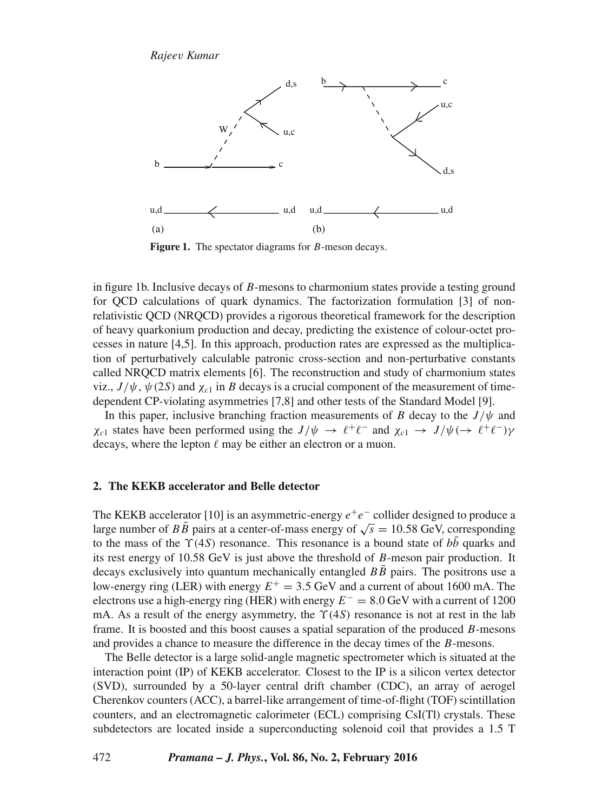

Figure 1. The spectator diagrams for *B*-meson decays.

in figure 1b. Inclusive decays of B-mesons to charmonium states provide a testing ground for QCD calculations of quark dynamics. The factorization formulation [3] of nonrelativistic QCD (NRQCD) provides a rigorous theoretical framework for the description of heavy quarkonium production and decay, predicting the existence of colour-octet processes in nature [4,5]. In this approach, production rates are expressed as the multiplication of perturbatively calculable patronic cross-section and non-perturbative constants called NRQCD matrix elements [6]. The reconstruction and study of charmonium states viz.,  $J/\psi$ ,  $\psi$ (2S) and  $\chi$ <sub>c1</sub> in B decays is a crucial component of the measurement of timedependent CP-violating asymmetries [7,8] and other tests of the Standard Model [9].

In this paper, inclusive branching fraction measurements of B decay to the  $J/\psi$  and  $\chi_{c1}$  states have been performed using the  $J/\psi \to \ell^+ \ell^-$  and  $\chi_{c1} \to J/\psi (\to \ell^+ \ell^-) \gamma$ decays, where the lepton  $\ell$  may be either an electron or a muon.

#### **2. The KEKB accelerator and Belle detector**

The KEKB accelerator [10] is an asymmetric-energy  $e^+e^-$  collider designed to produce a large number of  $B\bar{B}$  pairs at a center-of-mass energy of  $\sqrt{s} = 10.58$  GeV, corresponding to the mass of the  $\Upsilon(4S)$  resonance. This resonance is a bound state of  $b\bar{b}$  quarks and its rest energy of  $10.58 \text{ GeV}$  is just above the threshold of  $B$ -meson pair production. It decays exclusively into quantum mechanically entangled  $BB$  pairs. The positrons use a low-energy ring (LER) with energy  $E^+ = 3.5$  GeV and a current of about 1600 mA. The electrons use a high-energy ring (HER) with energy  $E^- = 8.0$  GeV with a current of 1200 mA. As a result of the energy asymmetry, the  $\Upsilon(4S)$  resonance is not at rest in the lab frame. It is boosted and this boost causes a spatial separation of the produced B-mesons and provides a chance to measure the difference in the decay times of the B-mesons.

The Belle detector is a large solid-angle magnetic spectrometer which is situated at the interaction point (IP) of KEKB accelerator. Closest to the IP is a silicon vertex detector (SVD), surrounded by a 50-layer central drift chamber (CDC), an array of aerogel Cherenkov counters (ACC), a barrel-like arrangement of time-of-flight (TOF) scintillation counters, and an electromagnetic calorimeter (ECL) comprising CsI(Tl) crystals. These subdetectors are located inside a superconducting solenoid coil that provides a 1.5 T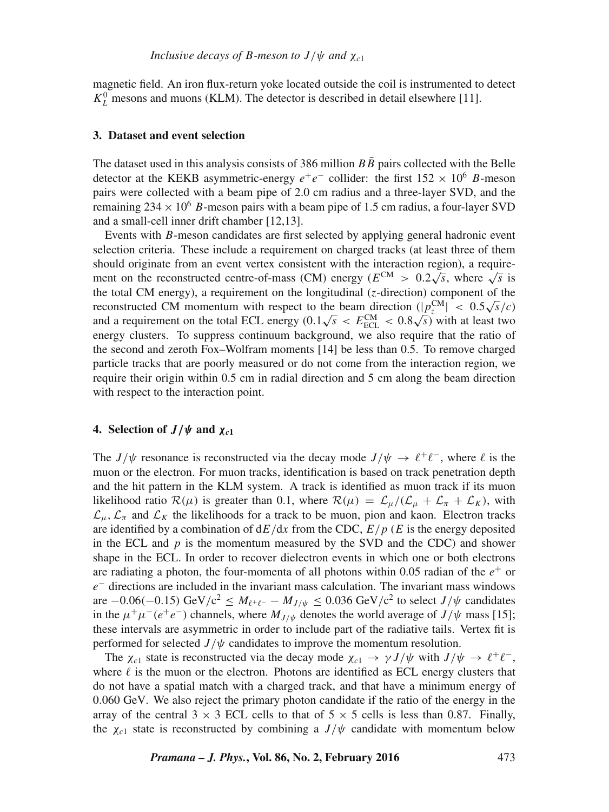magnetic field. An iron flux-return yoke located outside the coil is instrumented to detect  $K_L^0$  mesons and muons (KLM). The detector is described in detail elsewhere [11].

#### **3. Dataset and event selection**

The dataset used in this analysis consists of 386 million  $B\bar{B}$  pairs collected with the Belle detector at the KEKB asymmetric-energy  $e^+e^-$  collider: the first  $152 \times 10^6$  B-meson pairs were collected with a beam pipe of 2.0 cm radius and a three-layer SVD, and the remaining  $234 \times 10^6$  B-meson pairs with a beam pipe of 1.5 cm radius, a four-layer SVD and a small-cell inner drift chamber [12,13].

Events with B-meson candidates are first selected by applying general hadronic event selection criteria. These include a requirement on charged tracks (at least three of them should originate from an event vertex consistent with the interaction region), a requirement on the reconstructed centre-of-mass (CM) energy ( $E^{CM} > 0.2\sqrt{s}$ , where  $\sqrt{s}$  is the total CM energy), a requirement on the longitudinal  $(z$ -direction) component of the reconstructed CM momentum with respect to the beam direction  $(|p_z^{\text{CM}}| < 0.5\sqrt{s}/c)$ and a requirement on the total ECL energy  $(0.1\sqrt{s} < E_{\text{ECL}}^{\text{CM}} < 0.8\sqrt{s})$  with at least two energy clusters. To suppress continuum background, we also require that the ratio of the second and zeroth Fox–Wolfram moments [14] be less than 0.5. To remove charged particle tracks that are poorly measured or do not come from the interaction region, we require their origin within 0.5 cm in radial direction and 5 cm along the beam direction with respect to the interaction point.

## **4.** Selection of  $J/\psi$  and  $\chi_{c1}$

The  $J/\psi$  resonance is reconstructed via the decay mode  $J/\psi \to \ell^+ \ell^-$ , where  $\ell$  is the muon or the electron. For muon tracks, identification is based on track penetration depth and the hit pattern in the KLM system. A track is identified as muon track if its muon likelihood ratio  $\mathcal{R}(\mu)$  is greater than 0.1, where  $\mathcal{R}(\mu) = \mathcal{L}_{\mu}/(\mathcal{L}_{\mu} + \mathcal{L}_{\pi} + \mathcal{L}_K)$ , with  $\mathcal{L}_{\mu}, \mathcal{L}_{\pi}$  and  $\mathcal{L}_{K}$  the likelihoods for a track to be muon, pion and kaon. Electron tracks are identified by a combination of  $dE/dx$  from the CDC,  $E/p$  (E is the energy deposited in the ECL and  $p$  is the momentum measured by the SVD and the CDC) and shower shape in the ECL. In order to recover dielectron events in which one or both electrons are radiating a photon, the four-momenta of all photons within 0.05 radian of the  $e^+$  or  $e^-$  directions are included in the invariant mass calculation. The invariant mass windows are  $-0.06(-0.15)$  GeV/c<sup>2</sup> ≤  $M_{\ell^+\ell^-} - M_{J/\psi}$  ≤ 0.036 GeV/c<sup>2</sup> to select  $J/\psi$  candidates in the  $\mu^+\mu^-(e^+e^-)$  channels, where  $M_{J/\psi}$  denotes the world average of  $J/\psi$  mass [15]; these intervals are asymmetric in order to include part of the radiative tails. Vertex fit is performed for selected  $J/\psi$  candidates to improve the momentum resolution.

The  $\chi_{c1}$  state is reconstructed via the decay mode  $\chi_{c1} \to \gamma J/\psi$  with  $J/\psi \to \ell^+ \ell^-$ , where  $\ell$  is the muon or the electron. Photons are identified as ECL energy clusters that do not have a spatial match with a charged track, and that have a minimum energy of 0.060 GeV. We also reject the primary photon candidate if the ratio of the energy in the array of the central  $3 \times 3$  ECL cells to that of  $5 \times 5$  cells is less than 0.87. Finally, the  $\chi_{c1}$  state is reconstructed by combining a  $J/\psi$  candidate with momentum below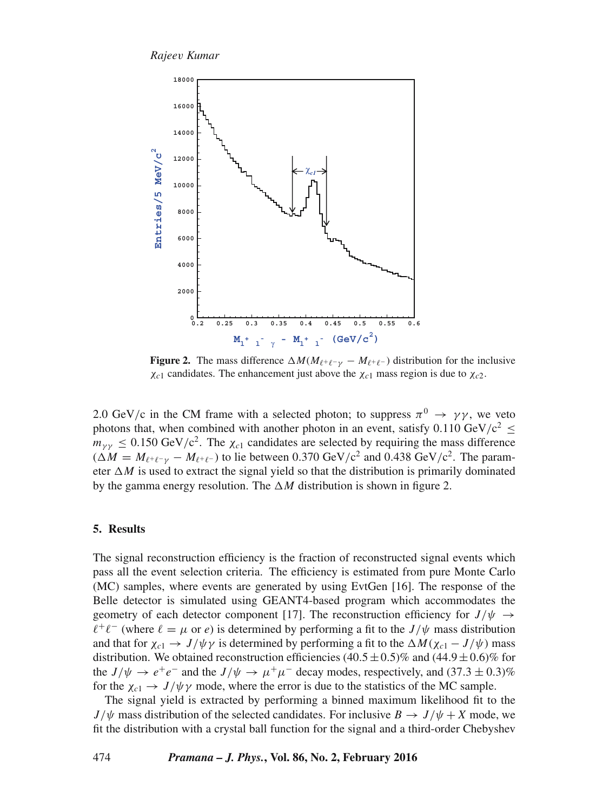*Rajee*v *Kumar*



**Figure 2.** The mass difference  $\Delta M(M_{\ell^+\ell^-\gamma} - M_{\ell^+\ell^-})$  distribution for the inclusive  $\chi_{c1}$  candidates. The enhancement just above the  $\chi_{c1}$  mass region is due to  $\chi_{c2}$ .

2.0 GeV/c in the CM frame with a selected photon; to suppress  $\pi^0 \rightarrow \gamma \gamma$ , we veto photons that, when combined with another photon in an event, satisfy 0.110 GeV/c<sup>2</sup>  $\leq$  $m_{\gamma\gamma} \leq 0.150 \text{ GeV}/c^2$ . The  $\chi_{c1}$  candidates are selected by requiring the mass difference  $(\Delta M = M_{\ell^+ \ell^- \gamma} - M_{\ell^+ \ell^-})$  to lie between 0.370 GeV/c<sup>2</sup> and 0.438 GeV/c<sup>2</sup>. The parameter  $\Delta M$  is used to extract the signal yield so that the distribution is primarily dominated by the gamma energy resolution. The  $\Delta M$  distribution is shown in figure 2.

## **5. Results**

The signal reconstruction efficiency is the fraction of reconstructed signal events which pass all the event selection criteria. The efficiency is estimated from pure Monte Carlo (MC) samples, where events are generated by using EvtGen [16]. The response of the Belle detector is simulated using GEANT4-based program which accommodates the geometry of each detector component [17]. The reconstruction efficiency for  $J/\psi \rightarrow$  $\ell^+\ell^-$  (where  $\ell = \mu$  or  $e$ ) is determined by performing a fit to the  $J/\psi$  mass distribution and that for  $\chi_{c1} \to J/\psi \gamma$  is determined by performing a fit to the  $\Delta M(\chi_{c1} - J/\psi)$  mass distribution. We obtained reconstruction efficiencies  $(40.5 \pm 0.5)\%$  and  $(44.9 \pm 0.6)\%$  for the  $J/\psi \to e^+e^-$  and the  $J/\psi \to \mu^+\mu^-$  decay modes, respectively, and  $(37.3 \pm 0.3)\%$ for the  $\chi_{c1} \rightarrow J/\psi \gamma$  mode, where the error is due to the statistics of the MC sample.

The signal yield is extracted by performing a binned maximum likelihood fit to the  $J/\psi$  mass distribution of the selected candidates. For inclusive  $B \to J/\psi + X$  mode, we fit the distribution with a crystal ball function for the signal and a third-order Chebyshev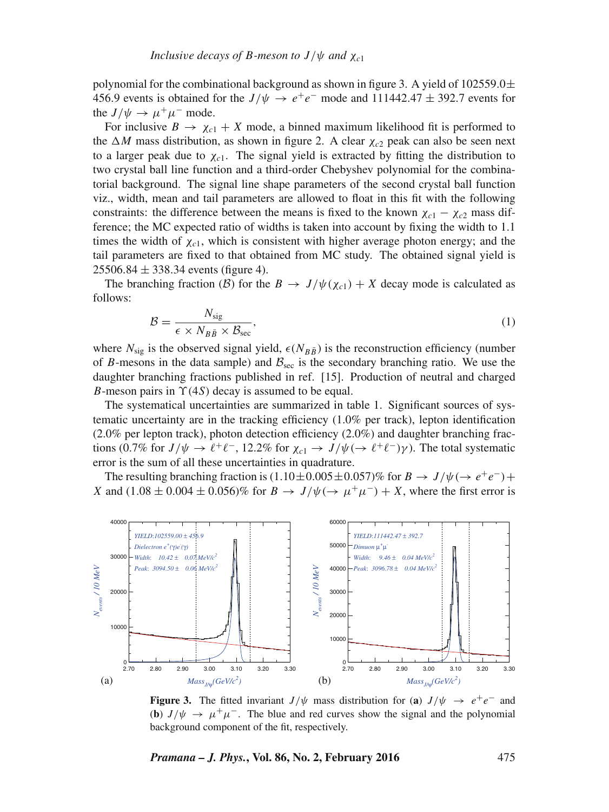polynomial for the combinational background as shown in figure 3. A yield of  $102559.0\pm$ 456.9 events is obtained for the  $J/\psi \rightarrow e^+e^-$  mode and 111442.47  $\pm$  392.7 events for the  $J/\psi \rightarrow \mu^+\mu^-$  mode.

For inclusive  $B \to \chi_{c1} + X$  mode, a binned maximum likelihood fit is performed to the  $\Delta M$  mass distribution, as shown in figure 2. A clear  $\chi_{c2}$  peak can also be seen next to a larger peak due to  $\chi_{c1}$ . The signal yield is extracted by fitting the distribution to two crystal ball line function and a third-order Chebyshev polynomial for the combinatorial background. The signal line shape parameters of the second crystal ball function viz., width, mean and tail parameters are allowed to float in this fit with the following constraints: the difference between the means is fixed to the known  $\chi_{c1} - \chi_{c2}$  mass difference; the MC expected ratio of widths is taken into account by fixing the width to 1.1 times the width of  $\chi_{c1}$ , which is consistent with higher average photon energy; and the tail parameters are fixed to that obtained from MC study. The obtained signal yield is  $25506.84 \pm 338.34$  events (figure 4).

The branching fraction (B) for the  $B \to J/\psi(\chi_{c1}) + X$  decay mode is calculated as follows:

$$
\mathcal{B} = \frac{N_{\text{sig}}}{\epsilon \times N_{B\bar{B}} \times \mathcal{B}_{\text{sec}}},\tag{1}
$$

where  $N_{\text{sig}}$  is the observed signal yield,  $\epsilon(N_{B\bar{B}})$  is the reconstruction efficiency (number of B-mesons in the data sample) and  $B_{\text{sec}}$  is the secondary branching ratio. We use the daughter branching fractions published in ref. [15]. Production of neutral and charged B-meson pairs in  $\Upsilon(4S)$  decay is assumed to be equal.

The systematical uncertainties are summarized in table 1. Significant sources of systematic uncertainty are in the tracking efficiency (1.0% per track), lepton identification  $(2.0\%$  per lepton track), photon detection efficiency  $(2.0\%)$  and daughter branching fractions (0.7% for  $J/\psi \to \ell^+\ell^-$ , 12.2% for  $\chi_{c1} \to J/\psi (\to \ell^+\ell^-) \gamma$ ). The total systematic error is the sum of all these uncertainties in quadrature.

The resulting branching fraction is  $(1.10 \pm 0.005 \pm 0.057)\%$  for  $B \to J/\psi (\to e^+e^-) +$ X and  $(1.08 \pm 0.004 \pm 0.056)$ % for  $B \to J/\psi (\to \mu^+ \mu^-) + X$ , where the first error is



**Figure 3.** The fitted invariant  $J/\psi$  mass distribution for (**a**)  $J/\psi \rightarrow e^+e^-$  and (**b**)  $J/\psi \rightarrow \mu^+\mu^-$ . The blue and red curves show the signal and the polynomial background component of the fit, respectively.

*Pramana – J. Phys.***, Vol. 86, No. 2, February 2016** 475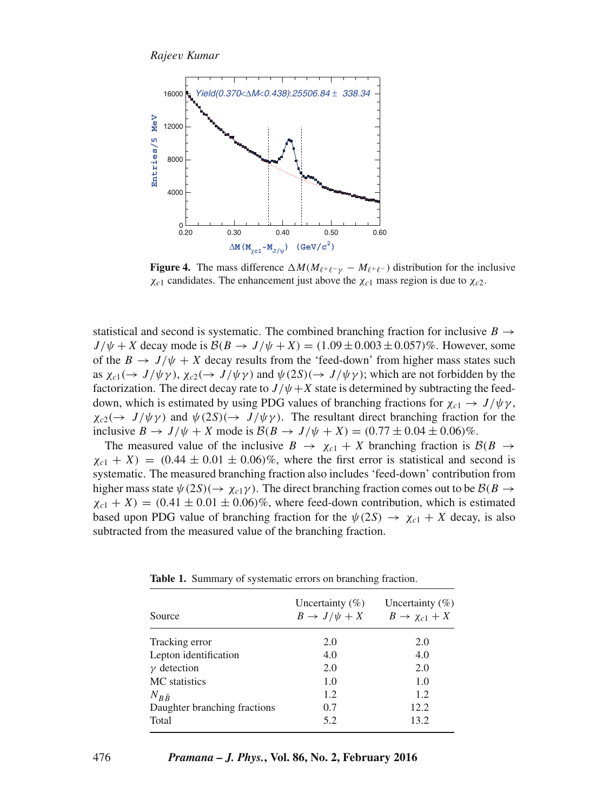

**Figure 4.** The mass difference  $\Delta M(M_{\ell^+\ell^-\gamma} - M_{\ell^+\ell^-})$  distribution for the inclusive  $\chi_{c1}$  candidates. The enhancement just above the  $\chi_{c1}$  mass region is due to  $\chi_{c2}$ .

statistical and second is systematic. The combined branching fraction for inclusive  $B \rightarrow$  $J/\psi + X$  decay mode is  $\mathcal{B}(B \to J/\psi + X) = (1.09 \pm 0.003 \pm 0.057)\%$ . However, some of the  $B \to J/\psi + X$  decay results from the 'feed-down' from higher mass states such as  $\chi_{c1}(\to J/\psi\gamma)$ ,  $\chi_{c2}(\to J/\psi\gamma)$  and  $\psi(2S)(\to J/\psi\gamma)$ ; which are not forbidden by the factorization. The direct decay rate to  $J/\psi + X$  state is determined by subtracting the feeddown, which is estimated by using PDG values of branching fractions for  $\chi_{c1} \rightarrow J/\psi \gamma$ ,  $\chi_{c2}(\rightarrow J/\psi \gamma)$  and  $\psi(2S)(\rightarrow J/\psi \gamma)$ . The resultant direct branching fraction for the inclusive  $B \to J/\psi + X$  mode is  $\mathcal{B}(B \to J/\psi + X) = (0.77 \pm 0.04 \pm 0.06)\%$ .

The measured value of the inclusive  $B \to \chi_{c1} + X$  branching fraction is  $\mathcal{B}(B \to \chi_{c1} + X)$  $\chi_{c1}$  + X) = (0.44  $\pm$  0.01  $\pm$  0.06)%, where the first error is statistical and second is systematic. The measured branching fraction also includes 'feed-down' contribution from higher mass state  $\psi(2S)(\rightarrow \chi_{c1}\gamma)$ . The direct branching fraction comes out to be  $\mathcal{B}(B \rightarrow$  $\chi_{c1}$  + X) = (0.41  $\pm$  0.01  $\pm$  0.06)%, where feed-down contribution, which is estimated based upon PDG value of branching fraction for the  $\psi(2S) \rightarrow \chi_{c1} + X$  decay, is also subtracted from the measured value of the branching fraction.

| Source                       | Uncertainty $(\% )$<br>$B \to J/\psi + X$ | Uncertainty $(\% )$<br>$B \rightarrow \chi_{c1} + X$ |
|------------------------------|-------------------------------------------|------------------------------------------------------|
| Tracking error               | 2.0                                       | 2.0                                                  |
| Lepton identification        | 4.0                                       | 4.0                                                  |
| $\nu$ detection              | 2.0                                       | 2.0                                                  |
| MC statistics                | 1.0                                       | 1.0                                                  |
| $N_{B\bar{B}}$               | 1.2                                       | 1.2                                                  |
| Daughter branching fractions | 0.7                                       | 12.2                                                 |
| Total                        | 5.2                                       | 13.2                                                 |

**Table 1.** Summary of systematic errors on branching fraction.